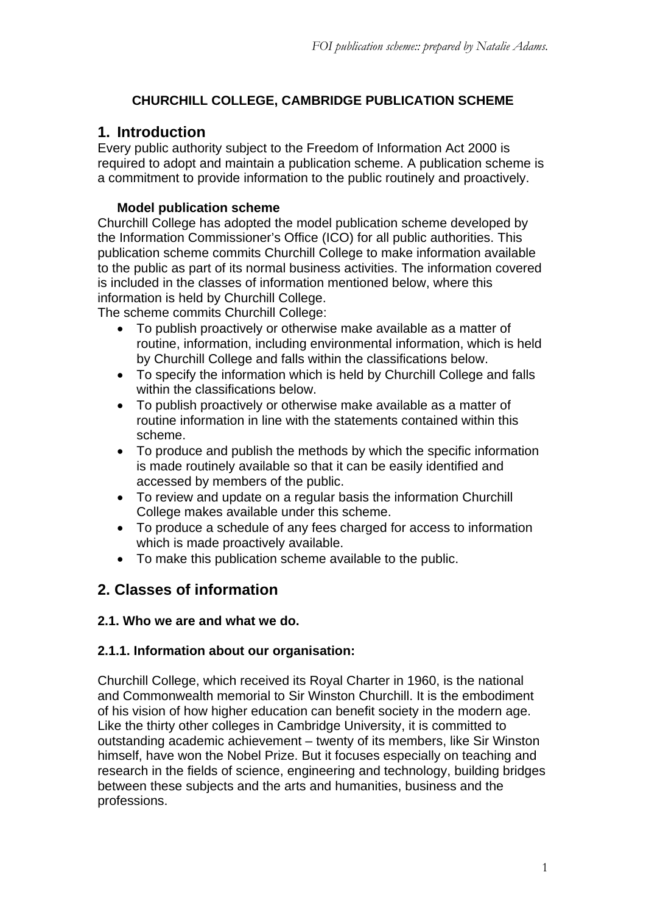# **CHURCHILL COLLEGE, CAMBRIDGE PUBLICATION SCHEME**

# **1. Introduction**

Every public authority subject to the Freedom of Information Act 2000 is required to adopt and maintain a publication scheme. A publication scheme is a commitment to provide information to the public routinely and proactively.

# **Model publication scheme**

Churchill College has adopted the model publication scheme developed by the Information Commissioner's Office (ICO) for all public authorities. This publication scheme commits Churchill College to make information available to the public as part of its normal business activities. The information covered is included in the classes of information mentioned below, where this information is held by Churchill College.

The scheme commits Churchill College:

- To publish proactively or otherwise make available as a matter of routine, information, including environmental information, which is held by Churchill College and falls within the classifications below.
- To specify the information which is held by Churchill College and falls within the classifications below.
- To publish proactively or otherwise make available as a matter of routine information in line with the statements contained within this scheme.
- To produce and publish the methods by which the specific information is made routinely available so that it can be easily identified and accessed by members of the public.
- To review and update on a regular basis the information Churchill College makes available under this scheme.
- To produce a schedule of any fees charged for access to information which is made proactively available.
- To make this publication scheme available to the public.

# **2. Classes of information**

## **2.1. Who we are and what we do.**

## **2.1.1. Information about our organisation:**

Churchill College, which received its Royal Charter in 1960, is the national and Commonwealth memorial to Sir Winston Churchill. It is the embodiment of his vision of how higher education can benefit society in the modern age. Like the thirty other colleges in Cambridge University, it is committed to outstanding academic achievement – twenty of its members, like Sir Winston himself, have won the Nobel Prize. But it focuses especially on teaching and research in the fields of science, engineering and technology, building bridges between these subjects and the arts and humanities, business and the professions.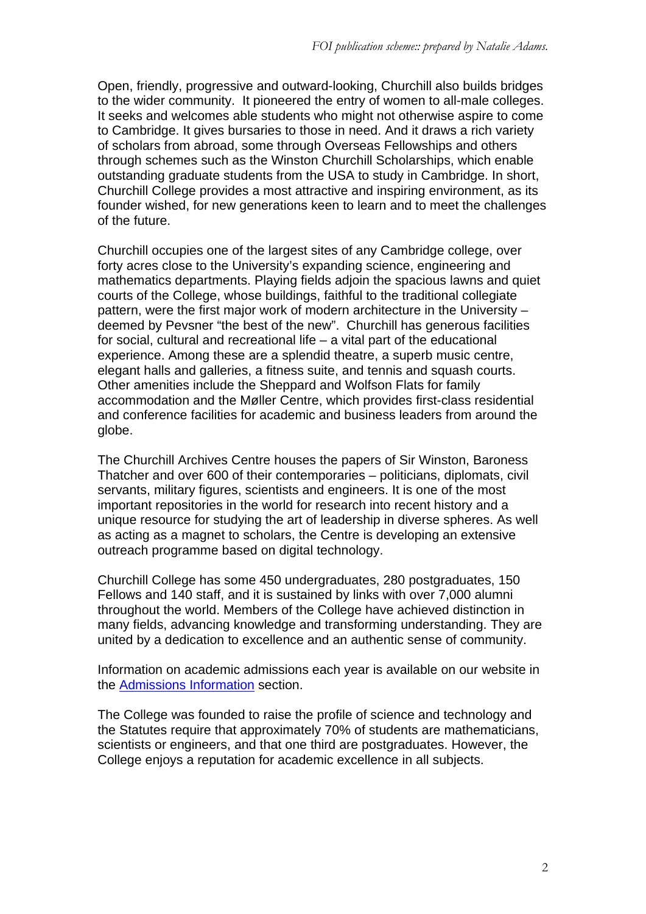Open, friendly, progressive and outward-looking, Churchill also builds bridges to the wider community. It pioneered the entry of women to all-male colleges. It seeks and welcomes able students who might not otherwise aspire to come to Cambridge. It gives bursaries to those in need. And it draws a rich variety of scholars from abroad, some through Overseas Fellowships and others through schemes such as the Winston Churchill Scholarships, which enable outstanding graduate students from the USA to study in Cambridge. In short, Churchill College provides a most attractive and inspiring environment, as its founder wished, for new generations keen to learn and to meet the challenges of the future.

Churchill occupies one of the largest sites of any Cambridge college, over forty acres close to the University's expanding science, engineering and mathematics departments. Playing fields adjoin the spacious lawns and quiet courts of the College, whose buildings, faithful to the traditional collegiate pattern, were the first major work of modern architecture in the University – deemed by Pevsner "the best of the new". Churchill has generous facilities for social, cultural and recreational life – a vital part of the educational experience. Among these are a splendid theatre, a superb music centre, elegant halls and galleries, a fitness suite, and tennis and squash courts. Other amenities include the Sheppard and Wolfson Flats for family accommodation and the Møller Centre, which provides first-class residential and conference facilities for academic and business leaders from around the globe.

The Churchill Archives Centre houses the papers of Sir Winston, Baroness Thatcher and over 600 of their contemporaries – politicians, diplomats, civil servants, military figures, scientists and engineers. It is one of the most important repositories in the world for research into recent history and a unique resource for studying the art of leadership in diverse spheres. As well as acting as a magnet to scholars, the Centre is developing an extensive outreach programme based on digital technology.

Churchill College has some 450 undergraduates, 280 postgraduates, 150 Fellows and 140 staff, and it is sustained by links with over 7,000 alumni throughout the world. Members of the College have achieved distinction in many fields, advancing knowledge and transforming understanding. They are united by a dedication to excellence and an authentic sense of community.

Information on academic admissions each year is available on our website in the Admissions Information section.

The College was founded to raise the profile of science and technology and the Statutes require that approximately 70% of students are mathematicians, scientists or engineers, and that one third are postgraduates. However, the College enjoys a reputation for academic excellence in all subjects.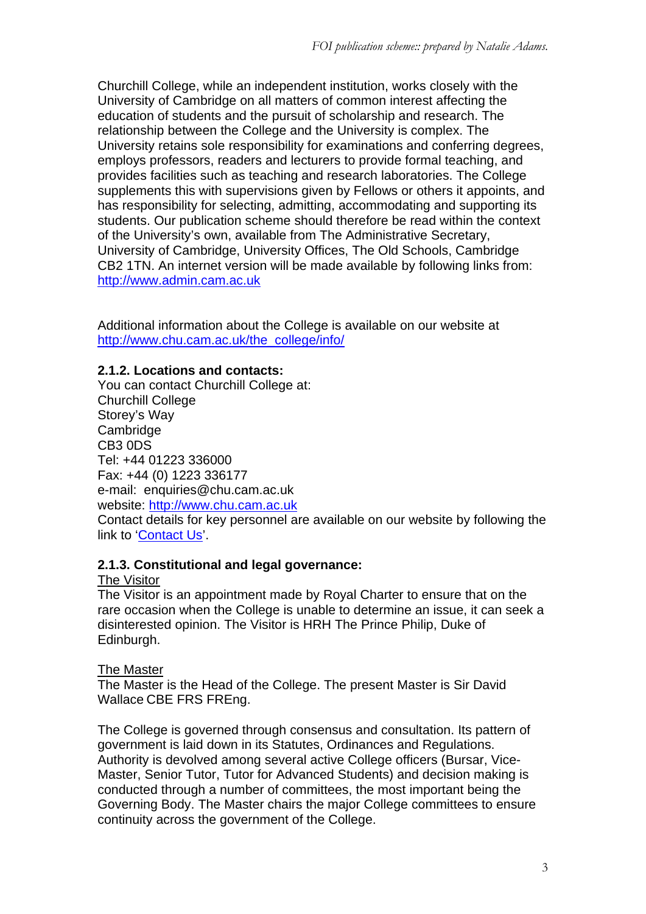Churchill College, while an independent institution, works closely with the University of Cambridge on all matters of common interest affecting the education of students and the pursuit of scholarship and research. The relationship between the College and the University is complex. The University retains sole responsibility for examinations and conferring degrees, employs professors, readers and lecturers to provide formal teaching, and provides facilities such as teaching and research laboratories. The College supplements this with supervisions given by Fellows or others it appoints, and has responsibility for selecting, admitting, accommodating and supporting its students. Our publication scheme should therefore be read within the context of the University's own, available from The Administrative Secretary, University of Cambridge, University Offices, The Old Schools, Cambridge CB2 1TN. An internet version will be made available by following links from: http://www.admin.cam.ac.uk

Additional information about the College is available on our website at http://www.chu.cam.ac.uk/the\_college/info/

## **2.1.2. Locations and contacts:**

You can contact Churchill College at: Churchill College Storey's Way **Cambridge** CB3 0DS Tel: +44 01223 336000 Fax: +44 (0) 1223 336177 e-mail: enquiries@chu.cam.ac.uk website: http://www.chu.cam.ac.uk Contact details for key personnel are available on our website by following the link to 'Contact Us'.

## **2.1.3. Constitutional and legal governance:**

## The Visitor

The Visitor is an appointment made by Royal Charter to ensure that on the rare occasion when the College is unable to determine an issue, it can seek a disinterested opinion. The Visitor is HRH The Prince Philip, Duke of Edinburgh.

## The Master

The Master is the Head of the College. The present Master is Sir David Wallace CBE FRS FREng.

The College is governed through consensus and consultation. Its pattern of government is laid down in its Statutes, Ordinances and Regulations. Authority is devolved among several active College officers (Bursar, Vice-Master, Senior Tutor, Tutor for Advanced Students) and decision making is conducted through a number of committees, the most important being the Governing Body. The Master chairs the major College committees to ensure continuity across the government of the College.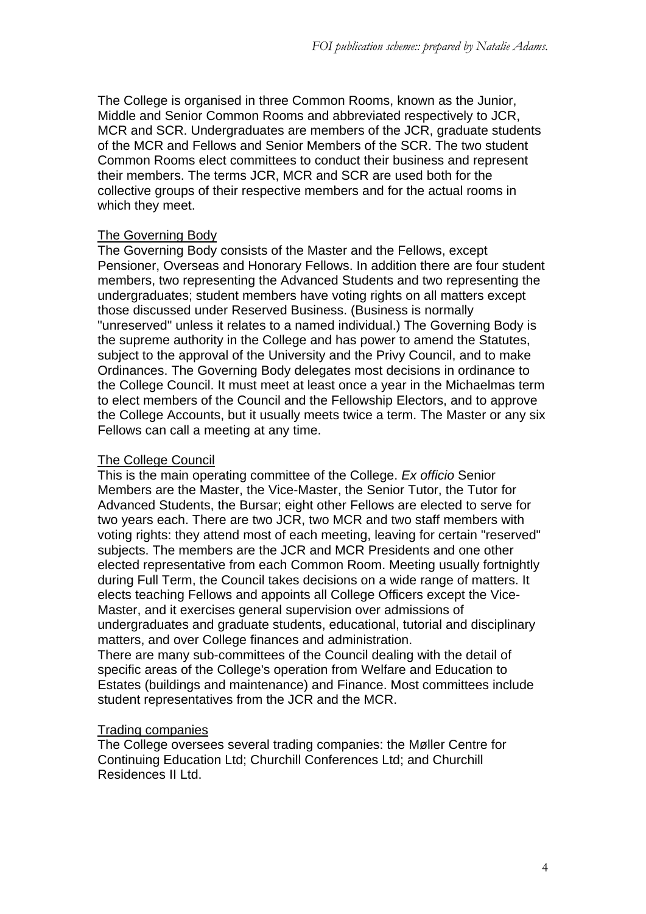The College is organised in three Common Rooms, known as the Junior, Middle and Senior Common Rooms and abbreviated respectively to JCR, MCR and SCR. Undergraduates are members of the JCR, graduate students of the MCR and Fellows and Senior Members of the SCR. The two student Common Rooms elect committees to conduct their business and represent their members. The terms JCR, MCR and SCR are used both for the collective groups of their respective members and for the actual rooms in which they meet.

#### The Governing Body

The Governing Body consists of the Master and the Fellows, except Pensioner, Overseas and Honorary Fellows. In addition there are four student members, two representing the Advanced Students and two representing the undergraduates; student members have voting rights on all matters except those discussed under Reserved Business. (Business is normally "unreserved" unless it relates to a named individual.) The Governing Body is the supreme authority in the College and has power to amend the Statutes, subject to the approval of the University and the Privy Council, and to make Ordinances. The Governing Body delegates most decisions in ordinance to the College Council. It must meet at least once a year in the Michaelmas term to elect members of the Council and the Fellowship Electors, and to approve the College Accounts, but it usually meets twice a term. The Master or any six Fellows can call a meeting at any time.

#### The College Council

This is the main operating committee of the College. *Ex officio* Senior Members are the Master, the Vice-Master, the Senior Tutor, the Tutor for Advanced Students, the Bursar; eight other Fellows are elected to serve for two years each. There are two JCR, two MCR and two staff members with voting rights: they attend most of each meeting, leaving for certain "reserved" subjects. The members are the JCR and MCR Presidents and one other elected representative from each Common Room. Meeting usually fortnightly during Full Term, the Council takes decisions on a wide range of matters. It elects teaching Fellows and appoints all College Officers except the Vice-Master, and it exercises general supervision over admissions of undergraduates and graduate students, educational, tutorial and disciplinary matters, and over College finances and administration.

There are many sub-committees of the Council dealing with the detail of specific areas of the College's operation from Welfare and Education to Estates (buildings and maintenance) and Finance. Most committees include student representatives from the JCR and the MCR.

#### Trading companies

The College oversees several trading companies: the Møller Centre for Continuing Education Ltd; Churchill Conferences Ltd; and Churchill Residences II Ltd.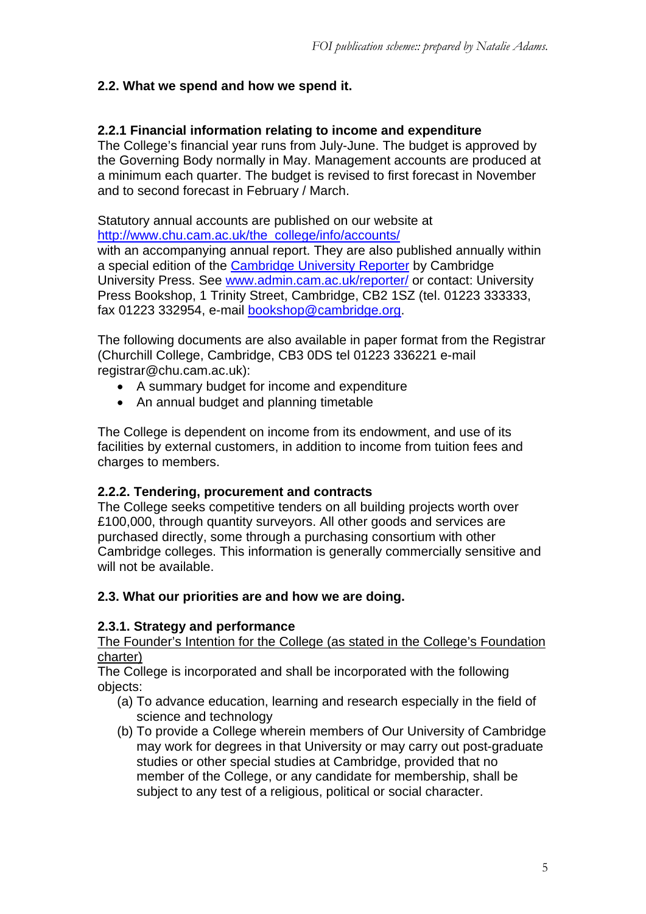# **2.2. What we spend and how we spend it.**

#### **2.2.1 Financial information relating to income and expenditure**

The College's financial year runs from July-June. The budget is approved by the Governing Body normally in May. Management accounts are produced at a minimum each quarter. The budget is revised to first forecast in November and to second forecast in February / March.

Statutory annual accounts are published on our website at http://www.chu.cam.ac.uk/the\_college/info/accounts/ with an accompanying annual report. They are also published annually within a special edition of the Cambridge University Reporter by Cambridge University Press. See www.admin.cam.ac.uk/reporter/ or contact: University Press Bookshop, 1 Trinity Street, Cambridge, CB2 1SZ (tel. 01223 333333, fax 01223 332954, e-mail bookshop@cambridge.org.

The following documents are also available in paper format from the Registrar (Churchill College, Cambridge, CB3 0DS tel 01223 336221 e-mail registrar@chu.cam.ac.uk):

- A summary budget for income and expenditure
- An annual budget and planning timetable

The College is dependent on income from its endowment, and use of its facilities by external customers, in addition to income from tuition fees and charges to members.

#### **2.2.2. Tendering, procurement and contracts**

The College seeks competitive tenders on all building projects worth over £100,000, through quantity surveyors. All other goods and services are purchased directly, some through a purchasing consortium with other Cambridge colleges. This information is generally commercially sensitive and will not be available.

## **2.3. What our priorities are and how we are doing.**

## **2.3.1. Strategy and performance**

The Founder's Intention for the College (as stated in the College's Foundation charter)

The College is incorporated and shall be incorporated with the following objects:

- (a) To advance education, learning and research especially in the field of science and technology
- (b) To provide a College wherein members of Our University of Cambridge may work for degrees in that University or may carry out post-graduate studies or other special studies at Cambridge, provided that no member of the College, or any candidate for membership, shall be subject to any test of a religious, political or social character.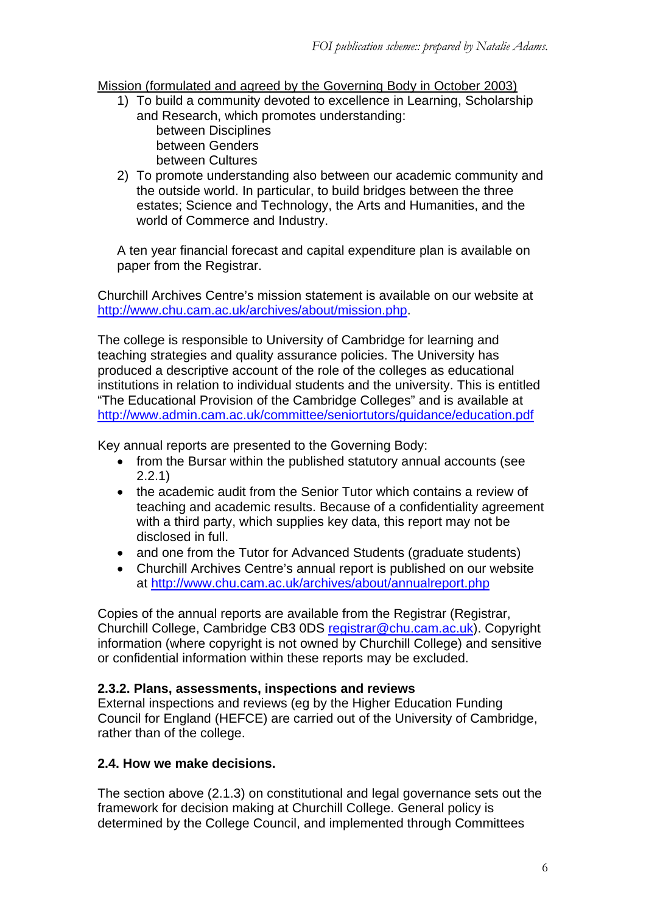#### Mission (formulated and agreed by the Governing Body in October 2003)

- 1) To build a community devoted to excellence in Learning, Scholarship and Research, which promotes understanding: between Disciplines between Genders between Cultures
- 2) To promote understanding also between our academic community and the outside world. In particular, to build bridges between the three estates; Science and Technology, the Arts and Humanities, and the world of Commerce and Industry.

A ten year financial forecast and capital expenditure plan is available on paper from the Registrar.

Churchill Archives Centre's mission statement is available on our website at http://www.chu.cam.ac.uk/archives/about/mission.php.

The college is responsible to University of Cambridge for learning and teaching strategies and quality assurance policies. The University has produced a descriptive account of the role of the colleges as educational institutions in relation to individual students and the university. This is entitled "The Educational Provision of the Cambridge Colleges" and is available at http://www.admin.cam.ac.uk/committee/seniortutors/guidance/education.pdf

Key annual reports are presented to the Governing Body:

- from the Bursar within the published statutory annual accounts (see 2.2.1)
- the academic audit from the Senior Tutor which contains a review of teaching and academic results. Because of a confidentiality agreement with a third party, which supplies key data, this report may not be disclosed in full.
- and one from the Tutor for Advanced Students (graduate students)
- Churchill Archives Centre's annual report is published on our website at http://www.chu.cam.ac.uk/archives/about/annualreport.php

Copies of the annual reports are available from the Registrar (Registrar, Churchill College, Cambridge CB3 0DS registrar@chu.cam.ac.uk). Copyright information (where copyright is not owned by Churchill College) and sensitive or confidential information within these reports may be excluded.

## **2.3.2. Plans, assessments, inspections and reviews**

External inspections and reviews (eg by the Higher Education Funding Council for England (HEFCE) are carried out of the University of Cambridge, rather than of the college.

## **2.4. How we make decisions.**

The section above (2.1.3) on constitutional and legal governance sets out the framework for decision making at Churchill College. General policy is determined by the College Council, and implemented through Committees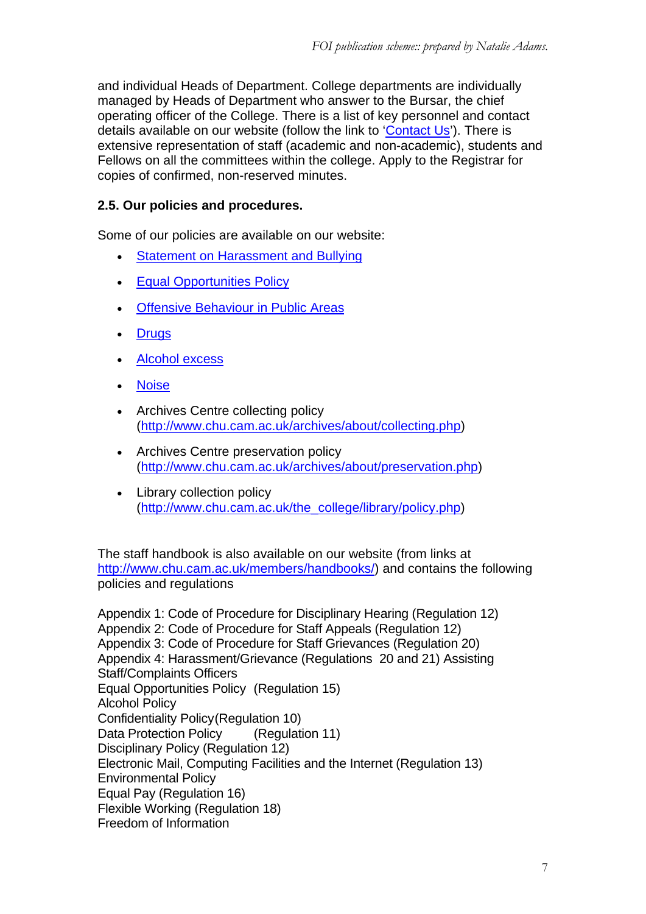and individual Heads of Department. College departments are individually managed by Heads of Department who answer to the Bursar, the chief operating officer of the College. There is a list of key personnel and contact details available on our website (follow the link to 'Contact Us'). There is extensive representation of staff (academic and non-academic), students and Fellows on all the committees within the college. Apply to the Registrar for copies of confirmed, non-reserved minutes.

# **2.5. Our policies and procedures.**

Some of our policies are available on our website:

- **Statement on Harassment and Bullying**
- Equal Opportunities Policy
- **Offensive Behaviour in Public Areas**
- **Drugs**
- Alcohol excess
- Noise
- Archives Centre collecting policy (http://www.chu.cam.ac.uk/archives/about/collecting.php)
- Archives Centre preservation policy (http://www.chu.cam.ac.uk/archives/about/preservation.php)
- Library collection policy (http://www.chu.cam.ac.uk/the\_college/library/policy.php)

The staff handbook is also available on our website (from links at http://www.chu.cam.ac.uk/members/handbooks/) and contains the following policies and regulations

Appendix 1: Code of Procedure for Disciplinary Hearing (Regulation 12) Appendix 2: Code of Procedure for Staff Appeals (Regulation 12) Appendix 3: Code of Procedure for Staff Grievances (Regulation 20) Appendix 4: Harassment/Grievance (Regulations 20 and 21) Assisting Staff/Complaints Officers Equal Opportunities Policy (Regulation 15) Alcohol Policy Confidentiality Policy (Regulation 10) Data Protection Policy (Regulation 11) Disciplinary Policy (Regulation 12) Electronic Mail, Computing Facilities and the Internet (Regulation 13) Environmental Policy Equal Pay (Regulation 16) Flexible Working (Regulation 18) Freedom of Information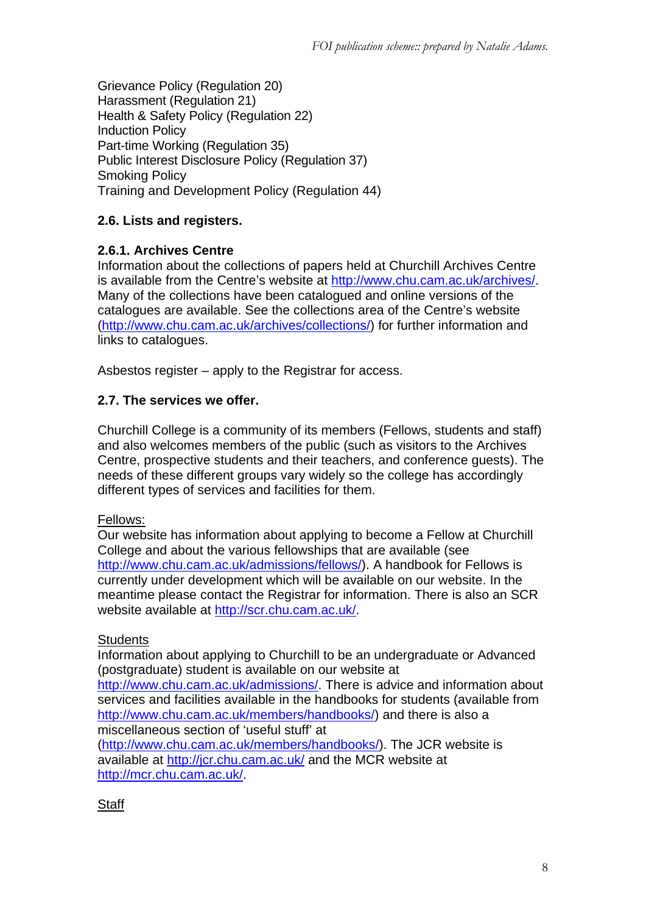Grievance Policy (Regulation 20) Harassment (Regulation 21) Health & Safety Policy (Regulation 22) Induction Policy Part-time Working (Regulation 35) Public Interest Disclosure Policy (Regulation 37) Smoking Policy Training and Development Policy (Regulation 44)

# **2.6. Lists and registers.**

## **2.6.1. Archives Centre**

Information about the collections of papers held at Churchill Archives Centre is available from the Centre's website at http://www.chu.cam.ac.uk/archives/. Many of the collections have been catalogued and online versions of the catalogues are available. See the collections area of the Centre's website (http://www.chu.cam.ac.uk/archives/collections/) for further information and links to catalogues.

Asbestos register – apply to the Registrar for access.

#### **2.7. The services we offer.**

Churchill College is a community of its members (Fellows, students and staff) and also welcomes members of the public (such as visitors to the Archives Centre, prospective students and their teachers, and conference guests). The needs of these different groups vary widely so the college has accordingly different types of services and facilities for them.

#### Fellows:

Our website has information about applying to become a Fellow at Churchill College and about the various fellowships that are available (see http://www.chu.cam.ac.uk/admissions/fellows/). A handbook for Fellows is currently under development which will be available on our website. In the meantime please contact the Registrar for information. There is also an SCR website available at http://scr.chu.cam.ac.uk/.

## **Students**

Information about applying to Churchill to be an undergraduate or Advanced (postgraduate) student is available on our website at http://www.chu.cam.ac.uk/admissions/. There is advice and information about services and facilities available in the handbooks for students (available from http://www.chu.cam.ac.uk/members/handbooks/) and there is also a miscellaneous section of 'useful stuff' at

(http://www.chu.cam.ac.uk/members/handbooks/). The JCR website is available at http://jcr.chu.cam.ac.uk/ and the MCR website at http://mcr.chu.cam.ac.uk/.

## **Staff**